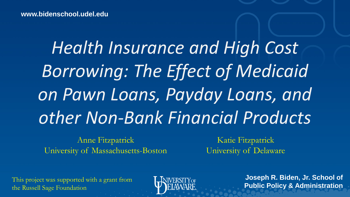*Health Insurance and High Cost Borrowing: The Effect of Medicaid on Pawn Loans, Payday Loans, and other Non-Bank Financial Products*

Anne Fitzpatrick University of Massachusetts-Boston

Katie Fitzpatrick University of Delaware

This project was supported with a grant from the Russell Sage Foundation



**Joseph R. Biden, Jr. School of Public Policy & Administration**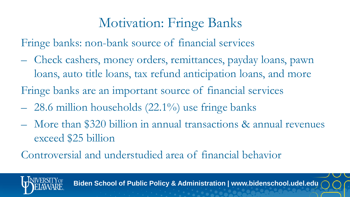### Motivation: Fringe Banks

Fringe banks: non-bank source of financial services

– Check cashers, money orders, remittances, payday loans, pawn loans, auto title loans, tax refund anticipation loans, and more

Fringe banks are an important source of financial services

- $-28.6$  million households  $(22.1\%)$  use fringe banks
- More than \$320 billion in annual transactions & annual revenues exceed \$25 billion

Controversial and understudied area of financial behavior

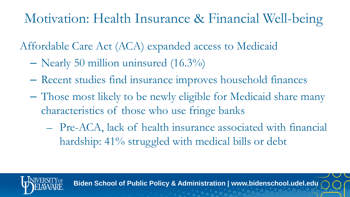### Motivation: Health Insurance & Financial Well-being

Affordable Care Act (ACA) expanded access to Medicaid

- Nearly 50 million uninsured (16.3%)
- Recent studies find insurance improves household finances
- Those most likely to be newly eligible for Medicaid share many characteristics of those who use fringe banks
	- Pre-ACA, lack of health insurance associated with financial hardship: 41% struggled with medical bills or debt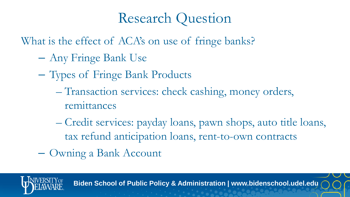## Research Question

What is the effect of ACA's on use of fringe banks?

- Any Fringe Bank Use
- Types of Fringe Bank Products
	- Transaction services: check cashing, money orders, remittances
	- Credit services: payday loans, pawn shops, auto title loans, tax refund anticipation loans, rent-to-own contracts
- Owning a Bank Account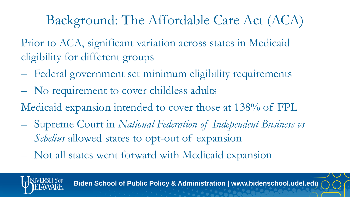# Background: The Affordable Care Act (ACA)

Prior to ACA, significant variation across states in Medicaid eligibility for different groups

- Federal government set minimum eligibility requirements
- No requirement to cover childless adults
- Medicaid expansion intended to cover those at 138% of FPL
- Supreme Court in *National Federation of Independent Business vs Sebelius* allowed states to opt-out of expansion
- Not all states went forward with Medicaid expansion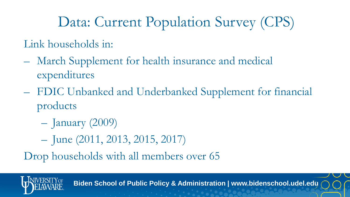# Data: Current Population Survey (CPS)

Link households in:

- March Supplement for health insurance and medical expenditures
- FDIC Unbanked and Underbanked Supplement for financial products
	- January (2009)
	- June (2011, 2013, 2015, 2017)

Drop households with all members over 65

**Biden School of Public Policy & Administration | www.bidenschool.udel.edu**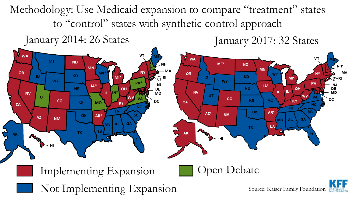Methodology: Use Medicaid expansion to compare "treatment" states to "control" states with synthetic control approach

January 2014: 26 States January 2017: 32 States

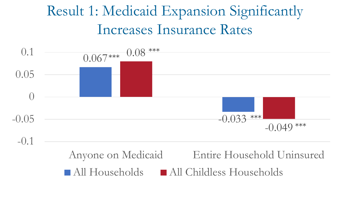# Result 1: Medicaid Expansion Significantly Increases Insurance Rates

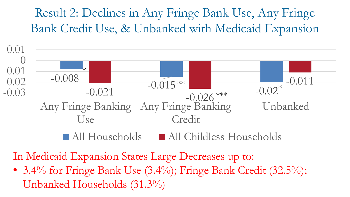#### Result 2: Declines in Any Fringe Bank Use, Any Fringe Bank Credit Use, & Unbanked with Medicaid Expansion



In Medicaid Expansion States Large Decreases up to:

• 3.4% for Fringe Bank Use (3.4%); Fringe Bank Credit (32.5%); Unbanked Households (31.3%)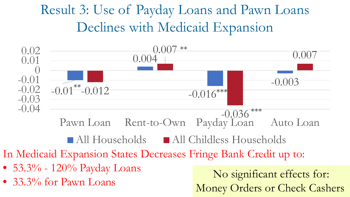## Result 3: Use of Payday Loans and Pawn Loans Declines with Medicaid Expansion



All Households All Childless Households

In Medicaid Expansion States Decreases Fringe Bank Credit up to:

- 53.3% 120% Payday Loans
- 

• 33.3% for Pawn Loans No significant effects for: Money Orders or Check Cashers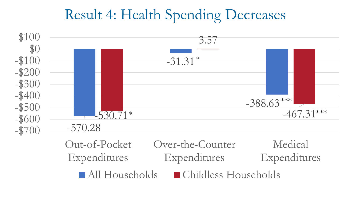## Result 4: Health Spending Decreases



Out-of-Pocket Expenditures Over-the-Counter Expenditures Medical Expenditures ■ All Households ■ Childless Households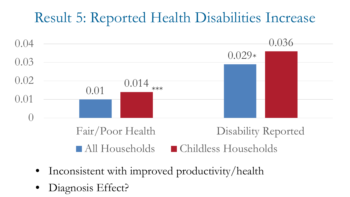### Result 5: Reported Health Disabilities Increase



- Inconsistent with improved productivity/health
- Diagnosis Effect?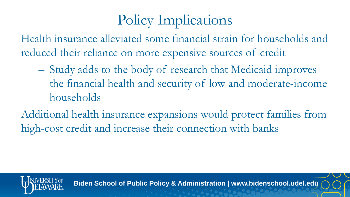# Policy Implications

Health insurance alleviated some financial strain for households and reduced their reliance on more expensive sources of credit

- Study adds to the body of research that Medicaid improves the financial health and security of low and moderate-income households
- Additional health insurance expansions would protect families from high-cost credit and increase their connection with banks



**Biden School of Public Policy & Administration | www.bidenschool.udel.edu**